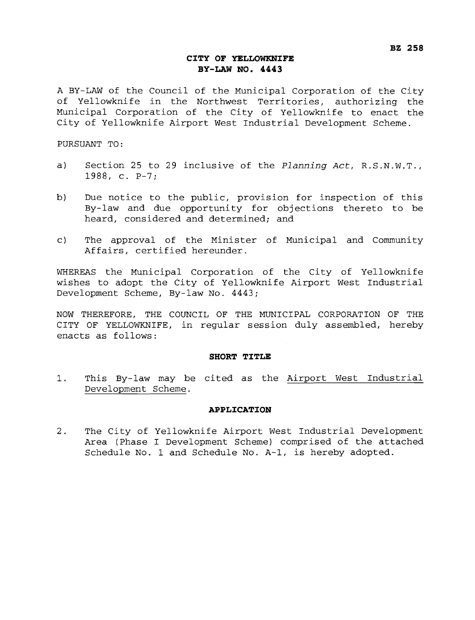# **CITY OF YELLOWKNIFE BY-LAW NO. 4443**

A BY-LAW of the Council of the Municipal Corporation of the City of Yellowknife in the Northwest Territories, authorizing the Municipal Corporation of the City of Yellowknife to enact the City of Yellowknife Airport West Industrial Development Scheme.

PURSUANT TO:

- a) Section 25 to 29 inclusive of the *Planning Act*,  $R.S.N.W.T.,$ 1988, C. P-7;
- b) Due notice to the public, provision for inspection of this By-law and due opportunity for objections thereto to be heard, considered and determined; and
- c) The approval of the Minister of Municipal and Community Affairs, certified hereunder.

WHEREAS the Municipal Corporation of the City of Yellowknife wishes to adopt the City of Yellowknife Airport West Industrial Development Scheme, By-law No. 4443;

NOW THEREFORE, THE COUNCIL OF THE MUNICIPAL CORPORATION OF THE CITY OF YELLOWKNIFE, in regular session duly assembled, hereby enacts as follows:

#### **SHORT TITLE**

1. This By-law may be cited as the Airport West Industrial Development Scheme.

### **APPLICATION**

2. The City of Yellowknife Airport West Industrial Development Area (Phase I Development Scheme) comprised of the attached Schedule No. 1 and Schedule No. A-1, is hereby adopted.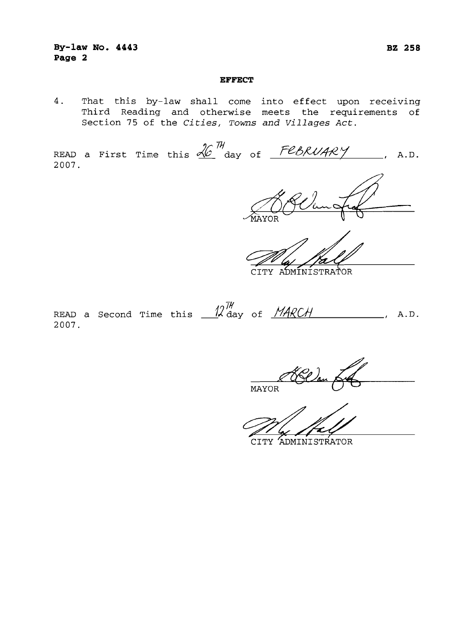## **By-law No. 4443 Page 2**

#### **EFFECT**

4. That this by-law shall come into effect upon receiving Third Reading and otherwise meets the requirements of Section 75 of the *Cities, Toms and Villages Act.* 

READ a First Time this  $\frac{\mathcal{X}^{\pi}}{\mathcal{X}}$  day of  $\frac{\mathcal{F}\ell_{\mathcal{B}}\mathcal{R}\mathcal{U}\mathcal{A}\mathcal{R}\mathcal{Y}}{\mathcal{Y}}$ , A.D. 2007.

'OR

 $H$ CITY ADMINISTRATOR<br>READ a Second Time this  $-$  12  $\frac{7}{9}$  ay of <u>MARCH</u> \_\_\_\_\_\_\_\_\_\_\_, A.D.<br>2007. 2007.

**MAYOR** 

CITY ADMINISTRATOR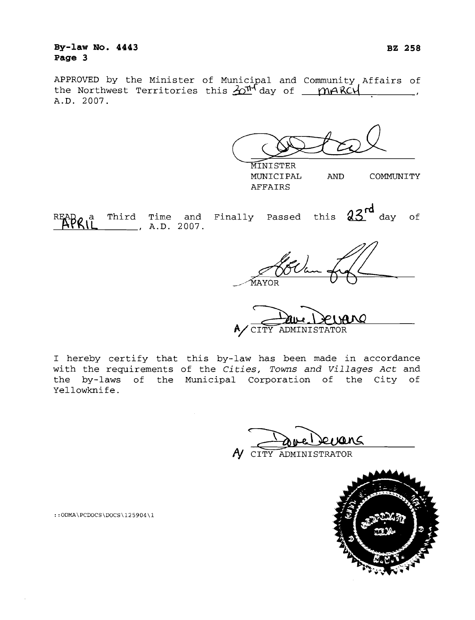# **By-law No. 4443 Page 3**

APPROVED by the Minister of Municipal and Community Affairs of the Northwest Territories this  $20<sup>n</sup>$  day of  $\mu$  *I*nARCH  $\mu$ , A.D. 2007.

MINISTER

AFFAIRS

MUNICIPAL AND COMMUNITY

R Third Time and Finally Passed this **grd** day of  $\frac{1}{2}$ , A.D. 2007.

MAYOR

CITY ADMINISTATOR

I hereby certify that this by-law has been made in accordance with the requirements of the *Cities, Towns* and *Villages Act* and the by-laws of the Municipal Corporation of the City of Yellowknife.

CITY ADMINISTRATOR



 $::$ ODMA\PCDOCS\DOCS\125904\1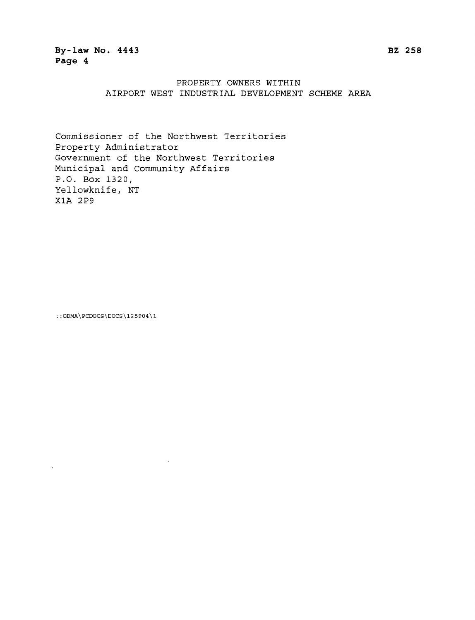# PROPERTY OWNERS WITHIN AIRPORT WEST INDUSTRIAL DEVELOPMENT SCHEME AREA

Commissioner of the Northwest Territories Property Administrator Government of the Northwest Territories Municipal and Community Affairs P.O. Box 1320, Yellowknife, NT X1A 2P9

:: ODMA\PCDOCS\DOCS\125904\1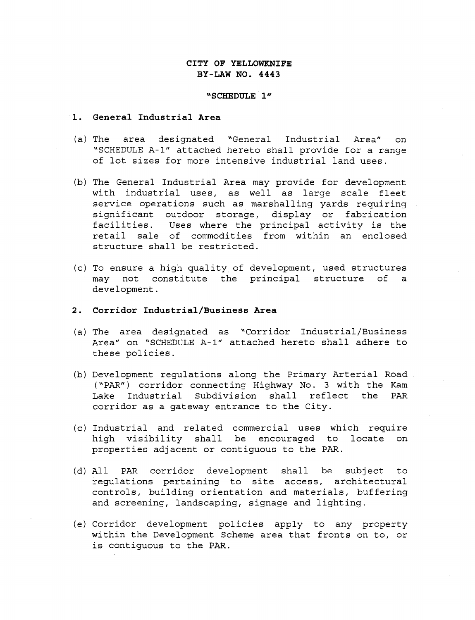# **CITY OF YELLOWKNIFE BY-LAW NO. 4443**

### **"SCHEDULE 1"**

### **General Industrial Area**

- (a) The area designated "General Industrial Area" on "SCHEDULE A-1" attached hereto shall provide for a range of lot sizes for more intensive industrial land uses.
- (b) The General Industrial Area may provide for development with industrial uses, as well as large scale fleet service operations such as marshalling yards requiring significant outdoor storage, display or fabrication facilities. Uses where the principal activity is the retail sale of commodities from within an enclosed structure shall be restricted.
- (c) To ensure a high quality of development, used structures may not constitute the principal structure of a development.

## **Corridor Industrial/Business Area**

- (a) The area designated as "Corridor Industrial/Business Area" on 'SCHEDULE A-1" attached hereto shall adhere to these policies.
- (b) Development regulations along the Primary Arterial Road. ("PAR") corridor connecting Highway No. 3 with the Kam Lake Industrial Subdivision shall reflect the PAR corridor as a gateway entrance to the City.
- (c) Industrial and related commercial uses which require high visibility shall be encouraged to locate on properties adjacent or contiguous to the PAR.
- (d) All PAR corridor development shall be subject to regulations pertaining to site access, architectural controls, building orientation and materials, buffering and screening, landscaping, signage and lighting.
- (e) Corridor development policies apply to any property within the Development Scheme area that fronts on to, or is contiguous to the PAR.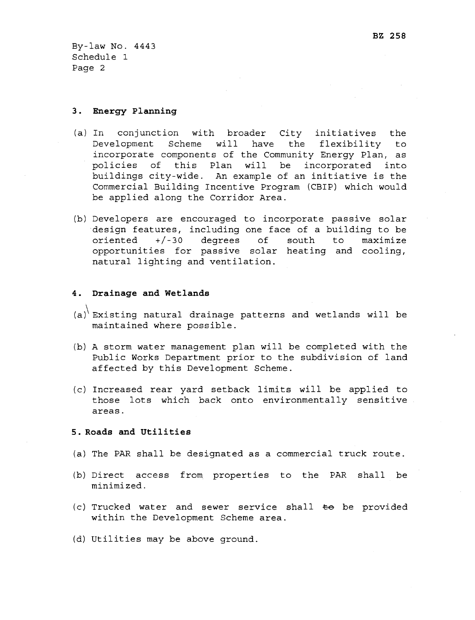By-law No. 4443 Schedule 1 Page 2

## **3. Energy Planning**

- (a) In conjunction with broader City initiatives the Development Scheme will have the flexibility to incorporate components of the Community Energy Plan, as policies of this Plan will be incorporated into buildings city-wide. An example of an initiative is the Commercial Building Incentive Program (CBIP) which would be applied along the Corridor Area.
- (b) Developers are encouraged to incorporate passive solar design features, including one face of a building to be oriented +/-30 degrees of south to maximize opportunities for passive solar heating and cooling, natural lighting and ventilation.

## **4. Drainage and Wetlands**

- $\langle a \rangle$ <sup>'</sup> Existing natural drainage patterns and wetlands will be maintained where possible.
- (b) A storm water management plan will be completed with the Public Works Department prior to the subdivision of land affected by this Development Scheme.
- (c) Increased rear yard setback limits will be applied to those lots which back onto environmentally sensitive areas.

#### **5. Roads and Utilities**

- (a) The PAR shall be designated as a commercial truck route.
- (b) Direct access from properties to the PAR shall be minimized.
- (c) Trucked water and sewer service shall  $\pm \Theta$  be provided within the Development Scheme area.
- (d) Utilities may be above ground.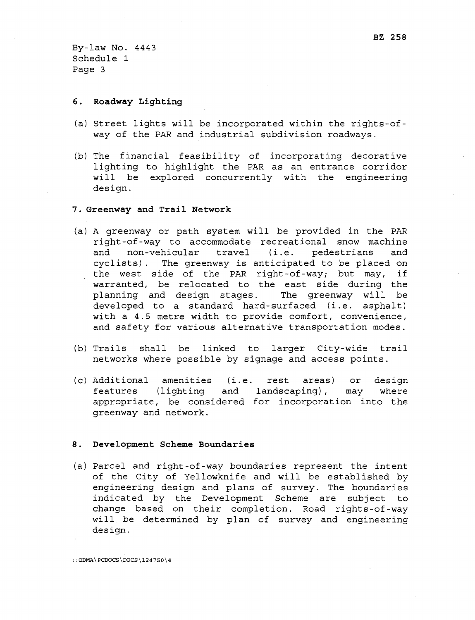By-law No. 4443 Schedule 1 Page 3

#### **6. Roadway Lighting**

- (a) Street lights will be incorporated within the rights-ofway of the PAR and industrial subdivision roadways.
- (b) The financial feasibility of incorporating decorative lighting to highlight the PAR as an entrance corridor will be explored concurrently with the engineering design.

### **7. Greenway and Trail Network**

- (a) A greenway or path system will be provided in the PAR right-of-way to accommodate recreational snow machine and non-vehicular travel (i.e. pedestrians and cyclists). The greenway is anticipated to be placed on the west side of the PAR right-of-way; but may, if warranted, be relocated to the east side during the planning and design stages. The greenway will be developed to a standard hard-surfaced (i.e. asphalt) with a 4.5 metre width to provide comfort, convenience, and safety for various alternative transportation modes.
- (b) Trails shall be linked to larger City-wide trail networks where possible by signage and access points.
- (c) Additional amenities (i.e. rest areas) or design features (lighting and landscaping), may where appropriate, be considered for incorporation into the greenway and network.

#### **8. Development Scheme Boundaries**

(a) Parcel and right-of-way boundaries represent the intent of the City of Yellowknife and will be established by engineering design and plans of survey. The boundaries indicated by the Development Scheme are subject to change based on their completion. Road rights-of-way will be determined by plan of survey and engineering design.